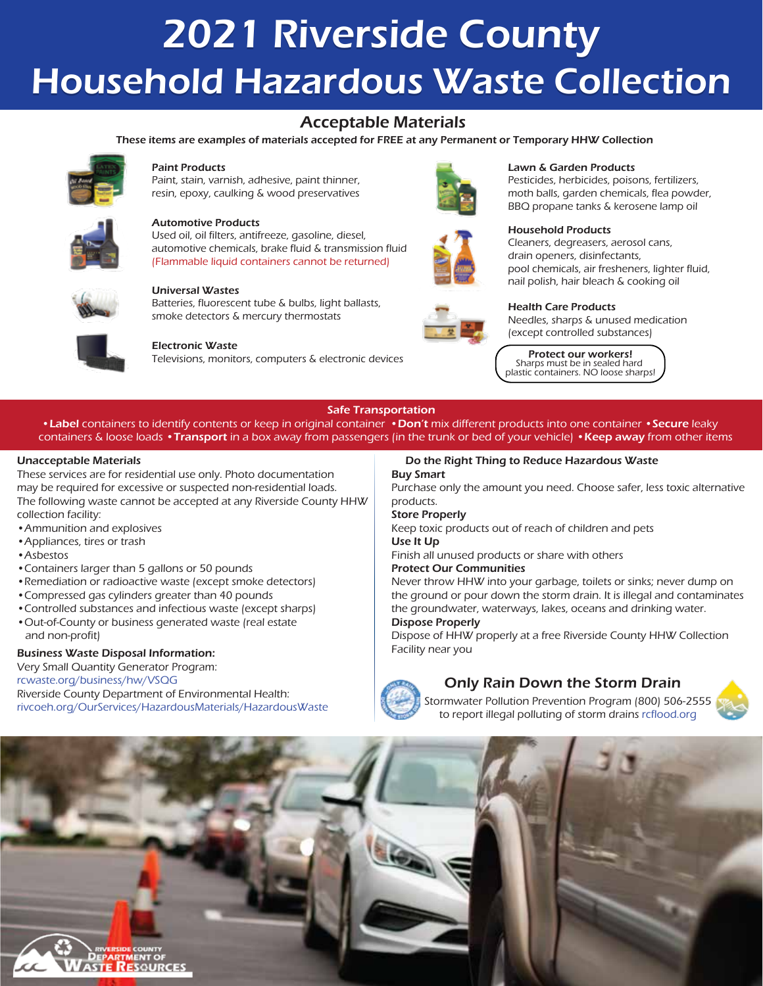# 2021 Riverside County Household Hazardous Waste Collection

### Acceptable Materials

These items are examples of materials accepted for FREE at any Permanent or Temporary HHW Collection



### Paint Products

Paint, stain, varnish, adhesive, paint thinner, resin, epoxy, caulking & wood preservatives



### Automotive Products

Used oil, oil filters, antifreeze, gasoline, diesel, automotive chemicals, brake fluid & transmission fluid (Flammable liquid containers cannot be returned)



### Universal Wastes

Batteries, fluorescent tube & bulbs, light ballasts, smoke detectors & mercury thermostats



### Electronic Waste

Televisions, monitors, computers & electronic devices





### Lawn & Garden Products

Pesticides, herbicides, poisons, fertilizers, moth balls, garden chemicals, flea powder, BBQ propane tanks & kerosene lamp oil



### Household Products

Cleaners, degreasers, aerosol cans, drain openers, disinfectants, pool chemicals, air fresheners, lighter fluid, nail polish, hair bleach & cooking oil



### Health Care Products

Needles, sharps & unused medication (except controlled substances)

Protect our workers! Sharps must be in sealed hard plastic containers. NO loose sharps!

### Safe Transportation

•Label containers to identify contents or keep in original container •Don't mix different products into one container •Secure leaky containers & loose loads •Transport in a box away from passengers (in the trunk or bed of your vehicle) •Keep away from other items

### Unacceptable Materials

These services are for residential use only. Photo documentation may be required for excessive or suspected non-residential loads. The following waste cannot be accepted at any Riverside County HHW collection facility:

- •Ammunition and explosives
- •Appliances, tires or trash
- •Asbestos
- •Containers larger than 5 gallons or 50 pounds
- •Remediation or radioactive waste (except smoke detectors)
- •Compressed gas cylinders greater than 40 pounds
- •Controlled substances and infectious waste (except sharps)
- •Out-of-County or business generated waste (real estate and non-profit)

### Business Waste Disposal Information:

### Very Small Quantity Generator Program:

[rcwaste.org/business/hw/VSQG](www.rcwaste.org/business/hw/VSQG) Riverside County Department of Environmental Health: [rivcoeh.org/OurServices/HazardousMaterials/HazardousWaste](www.rivcoeh.org/OurServices/HazardousMaterials/HazardousWaste)

### Do the Right Thing to Reduce Hazardous Waste Buy Smart

Purchase only the amount you need. Choose safer, less toxic alternative products.

### Store Properly

Keep toxic products out of reach of children and pets

### Use It Up

Finish all unused products or share with others

### Protect Our Communities

Never throw HHW into your garbage, toilets or sinks; never dump on the ground or pour down the storm drain. It is illegal and contaminates the groundwater, waterways, lakes, oceans and drinking water.

### Dispose Properly

Dispose of HHW properly at a free Riverside County HHW Collection Facility near you



### Only Rain Down the Storm Drain

Stormwater Pollution Prevention Program (800) 506-2555 to report illegal polluting of storm drains [rcflood.org](www.rcflood.org)



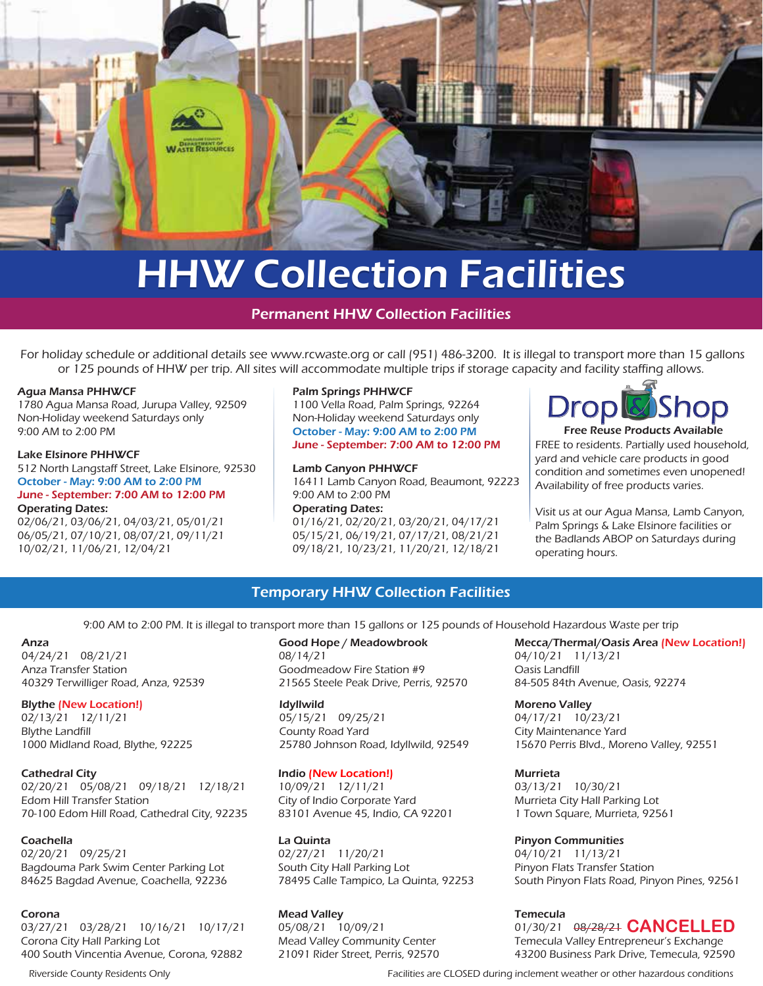

# **HHW Collection Facilities**

Permanent HHW Collection Facilities

For holiday schedule or additional details see<www.rcwaste.org>or call (951) 486-3200. It is illegal to transport more than 15 gallons or 125 pounds of HHW per trip. All sites will accommodate multiple trips if storage capacity and facility staffing allows.

### Agua Mansa PHHWCF

1780 Agua Mansa Road, Jurupa Valley, 92509 Non-Holiday weekend Saturdays only 9:00 AM to 2:00 PM

### Lake Elsinore PHHWCF

512 North Langstaff Street, Lake Elsinore, 92530 October - May: 9:00 AM to 2:00 PM June - September: 7:00 AM to 12:00 PM

### Operating Dates:

02/06/21, 03/06/21, 04/03/21, 05/01/21 06/05/21, 07/10/21, 08/07/21, 09/11/21 10/02/21, 11/06/21, 12/04/21

### Palm Springs PHHWCF

1100 Vella Road, Palm Springs, 92264 Non-Holiday weekend Saturdays only October - May: 9:00 AM to 2:00 PM June - September: 7:00 AM to 12:00 PM

### Lamb Canyon PHHWCF

16411 Lamb Canyon Road, Beaumont, 92223 9:00 AM to 2:00 PM

Operating Dates: 01/16/21, 02/20/21, 03/20/21, 04/17/21 05/15/21, 06/19/21, 07/17/21, 08/21/21 09/18/21, 10/23/21, 11/20/21, 12/18/21



FREE to residents. Partially used household, yard and vehicle care products in good condition and sometimes even unopened! Availability of free products varies.

Visit us at our Agua Mansa, Lamb Canyon, Palm Springs & Lake Elsinore facilities or the Badlands ABOP on Saturdays during operating hours.

### Temporary HHW Collection Facilities

9:00 AM to 2:00 PM. It is illegal to transport more than 15 gallons or 125 pounds of Household Hazardous Waste per trip

### Anza

04/24/21 08/21/21 Anza Transfer Station 40329 Terwilliger Road, Anza, 92539

### Blythe (New Location!)

02/13/21 12/11/21 Blythe Landfill 1000 Midland Road, Blythe, 92225

### Cathedral City

02/20/21 05/08/21 09/18/21 12/18/21 Edom Hill Transfer Station 70-100 Edom Hill Road, Cathedral City, 92235

### **Coachella**

02/20/21 09/25/21 Bagdouma Park Swim Center Parking Lot 84625 Bagdad Avenue, Coachella, 92236

### Corona

03/27/21 03/28/21 10/16/21 10/17/21 Corona City Hall Parking Lot 400 South Vincentia Avenue, Corona, 92882

Good Hope / Meadowbrook 08/14/21 Goodmeadow Fire Station #9 21565 Steele Peak Drive, Perris, 92570

Idyllwild 05/15/21 09/25/21 County Road Yard 25780 Johnson Road, Idyllwild, 92549

### Indio (New Location!)

10/09/21 12/11/21 City of Indio Corporate Yard 83101 Avenue 45, Indio, CA 92201

La Quinta 02/27/21 11/20/21 South City Hall Parking Lot 78495 Calle Tampico, La Quinta, 92253

### Mead Valley 05/08/21 10/09/21 Mead Valley Community Center 21091 Rider Street, Perris, 92570

Mecca/Thermal/Oasis Area (New Location!) 04/10/21 11/13/21 Oasis Landfill 84-505 84th Avenue, Oasis, 92274

Moreno Valley 04/17/21 10/23/21 City Maintenance Yard 15670 Perris Blvd., Moreno Valley, 92551

Murrieta

03/13/21 10/30/21 Murrieta City Hall Parking Lot 1 Town Square, Murrieta, 92561

Pinyon Communities 04/10/21 11/13/21 Pinyon Flats Transfer Station South Pinyon Flats Road, Pinyon Pines, 92561

### Temecula

01/30/21 08/28/21 **CANCELLED**Temecula Valley Entrepreneur's Exchange 43200 Business Park Drive, Temecula, 92590

Riverside County Residents Only Facilities are CLOSED during inclement weather or other hazardous conditions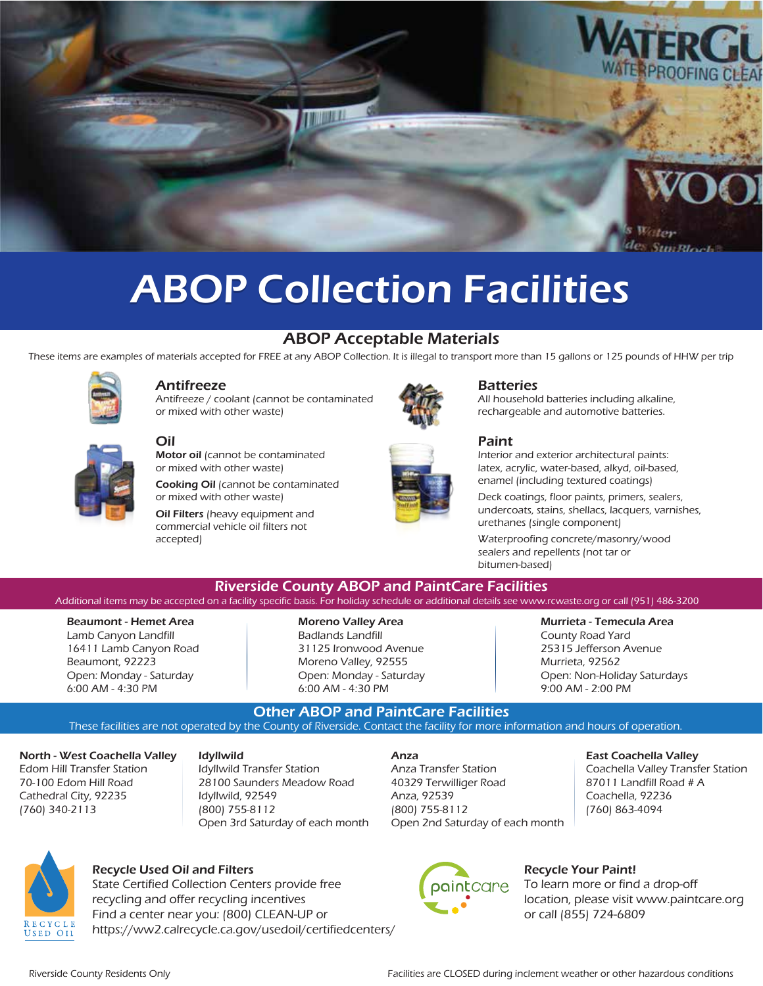

## **ABOP Collection Facilities**

### ABOP Acceptable Materials

These items are examples of materials accepted for FREE at any ABOP Collection. It is illegal to transport more than 15 gallons or 125 pounds of HHW per trip



### Antifreeze

Oil

accepted)

Antifreeze / coolant (cannot be contaminated or mixed with other waste)

Motor oil (cannot be contaminated or mixed with other waste)

or mixed with other waste) Oil Filters (heavy equipment and commercial vehicle oil filters not

Cooking Oil (cannot be contaminated





## **Batteries**

All household batteries including alkaline, rechargeable and automotive batteries.



Interior and exterior architectural paints: latex, acrylic, water-based, alkyd, oil-based, enamel (including textured coatings)

Deck coatings, floor paints, primers, sealers, undercoats, stains, shellacs, lacquers, varnishes, urethanes (single component)

Waterproofing concrete/masonry/wood sealers and repellents (not tar or bitumen-based)

Riverside County ABOP and PaintCare Facilities Additional items may be accepted on a facility specific basis. For holiday schedule or additional details see <www.rcwaste.org> or call (951) 486-3200

Beaumont - Hemet Area Lamb Canyon Landfill 16411 Lamb Canyon Road Beaumont, 92223 Open: Monday - Saturday 6:00 AM - 4:30 PM

### Moreno Valley Area

Badlands Landfill 31125 Ironwood Avenue Moreno Valley, 92555 Open: Monday - Saturday 6:00 AM - 4:30 PM

### Murrieta - Temecula Area

County Road Yard 25315 Jefferson Avenue Murrieta, 92562 Open: Non-Holiday Saturdays 9:00 AM - 2:00 PM

Other ABOP and PaintCare Facilities These facilities are not operated by the County of Riverside. Contact the facility for more information and hours of operation.

North - West Coachella Valley Edom Hill Transfer Station 70-100 Edom Hill Road Cathedral City, 92235 (760) 340-2113

### Idyllwild

Idyllwild Transfer Station 28100 Saunders Meadow Road Idyllwild, 92549 (800) 755-8112 Open 3rd Saturday of each month

### Anza

Anza Transfer Station 40329 Terwilliger Road Anza, 92539 (800) 755-8112 Open 2nd Saturday of each month

paintcare

### East Coachella Valley

Coachella Valley Transfer Station 87011 Landfill Road # A Coachella, 92236 (760) 863-4094



### Recycle Used Oil and Filters

State Certified Collection Centers provide free recycling and offer recycling incentives Find a center near you: (800) CLEAN-UP or [https://ww2.calrecycle.ca.gov/usedoil/certifiedcenters/](https://www2.calrecycle.ca.gov/UsedOil/CertifiedCenters/) Recycle Your Paint!

or call (855) 724-6809

To learn more or find a drop-off

location, please visit <www.paintcare.org>